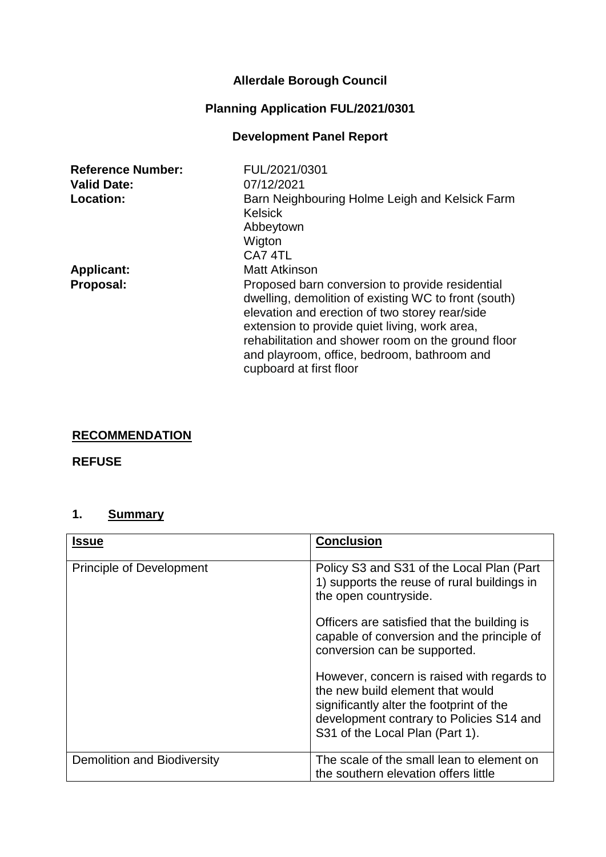# **Allerdale Borough Council**

# **Planning Application FUL/2021/0301**

# **Development Panel Report**

| <b>Reference Number:</b> | FUL/2021/0301                                                                                                                                                                                                                                                                                                                              |
|--------------------------|--------------------------------------------------------------------------------------------------------------------------------------------------------------------------------------------------------------------------------------------------------------------------------------------------------------------------------------------|
| <b>Valid Date:</b>       | 07/12/2021                                                                                                                                                                                                                                                                                                                                 |
| <b>Location:</b>         | Barn Neighbouring Holme Leigh and Kelsick Farm<br><b>Kelsick</b><br>Abbeytown                                                                                                                                                                                                                                                              |
|                          | Wigton<br>CA7 4TL                                                                                                                                                                                                                                                                                                                          |
| <b>Applicant:</b>        | <b>Matt Atkinson</b>                                                                                                                                                                                                                                                                                                                       |
| Proposal:                | Proposed barn conversion to provide residential<br>dwelling, demolition of existing WC to front (south)<br>elevation and erection of two storey rear/side<br>extension to provide quiet living, work area,<br>rehabilitation and shower room on the ground floor<br>and playroom, office, bedroom, bathroom and<br>cupboard at first floor |

# **RECOMMENDATION**

### **REFUSE**

# **1. Summary**

| <b>Issue</b>                    | <b>Conclusion</b>                                                                                                                                                                                         |
|---------------------------------|-----------------------------------------------------------------------------------------------------------------------------------------------------------------------------------------------------------|
|                                 |                                                                                                                                                                                                           |
| <b>Principle of Development</b> | Policy S3 and S31 of the Local Plan (Part<br>1) supports the reuse of rural buildings in<br>the open countryside.                                                                                         |
|                                 | Officers are satisfied that the building is<br>capable of conversion and the principle of<br>conversion can be supported.                                                                                 |
|                                 | However, concern is raised with regards to<br>the new build element that would<br>significantly alter the footprint of the<br>development contrary to Policies S14 and<br>S31 of the Local Plan (Part 1). |
| Demolition and Biodiversity     | The scale of the small lean to element on<br>the southern elevation offers little                                                                                                                         |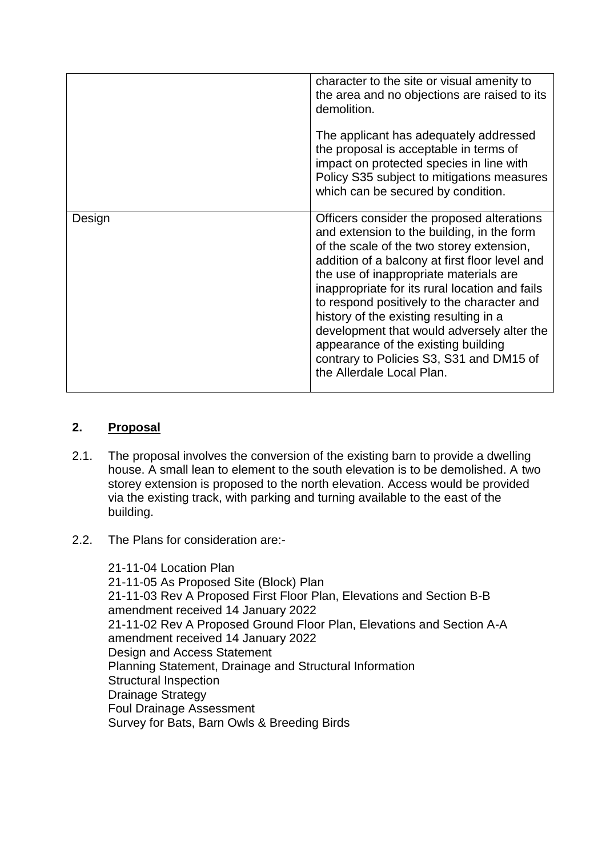|        | character to the site or visual amenity to<br>the area and no objections are raised to its<br>demolition.<br>The applicant has adequately addressed<br>the proposal is acceptable in terms of<br>impact on protected species in line with<br>Policy S35 subject to mitigations measures<br>which can be secured by condition.                                                                                                                                                                                                             |
|--------|-------------------------------------------------------------------------------------------------------------------------------------------------------------------------------------------------------------------------------------------------------------------------------------------------------------------------------------------------------------------------------------------------------------------------------------------------------------------------------------------------------------------------------------------|
| Design | Officers consider the proposed alterations<br>and extension to the building, in the form<br>of the scale of the two storey extension,<br>addition of a balcony at first floor level and<br>the use of inappropriate materials are<br>inappropriate for its rural location and fails<br>to respond positively to the character and<br>history of the existing resulting in a<br>development that would adversely alter the<br>appearance of the existing building<br>contrary to Policies S3, S31 and DM15 of<br>the Allerdale Local Plan. |
|        |                                                                                                                                                                                                                                                                                                                                                                                                                                                                                                                                           |

### **2. Proposal**

- 2.1. The proposal involves the conversion of the existing barn to provide a dwelling house. A small lean to element to the south elevation is to be demolished. A two storey extension is proposed to the north elevation. Access would be provided via the existing track, with parking and turning available to the east of the building.
- 2.2. The Plans for consideration are:-

21-11-04 Location Plan 21-11-05 As Proposed Site (Block) Plan 21-11-03 Rev A Proposed First Floor Plan, Elevations and Section B-B amendment received 14 January 2022 21-11-02 Rev A Proposed Ground Floor Plan, Elevations and Section A-A amendment received 14 January 2022 Design and Access Statement Planning Statement, Drainage and Structural Information Structural Inspection Drainage Strategy Foul Drainage Assessment Survey for Bats, Barn Owls & Breeding Birds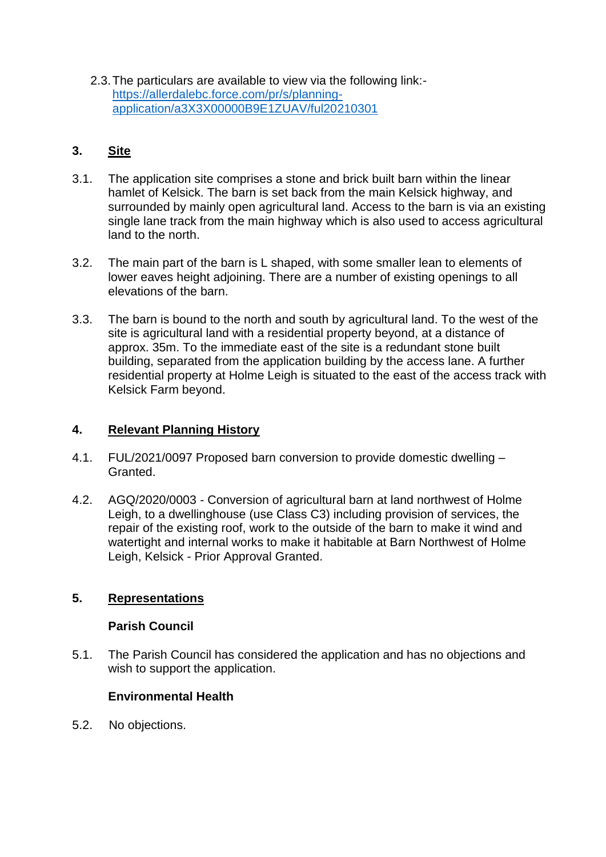2.3.The particulars are available to view via the following link: [https://allerdalebc.force.com/pr/s/planning](https://allerdalebc.force.com/pr/s/planning-application/a3X3X00000B9E1ZUAV/ful20210301)[application/a3X3X00000B9E1ZUAV/ful20210301](https://allerdalebc.force.com/pr/s/planning-application/a3X3X00000B9E1ZUAV/ful20210301)

### **3. Site**

- 3.1. The application site comprises a stone and brick built barn within the linear hamlet of Kelsick. The barn is set back from the main Kelsick highway, and surrounded by mainly open agricultural land. Access to the barn is via an existing single lane track from the main highway which is also used to access agricultural land to the north.
- 3.2. The main part of the barn is L shaped, with some smaller lean to elements of lower eaves height adjoining. There are a number of existing openings to all elevations of the barn.
- 3.3. The barn is bound to the north and south by agricultural land. To the west of the site is agricultural land with a residential property beyond, at a distance of approx. 35m. To the immediate east of the site is a redundant stone built building, separated from the application building by the access lane. A further residential property at Holme Leigh is situated to the east of the access track with Kelsick Farm beyond.

### **4. Relevant Planning History**

- 4.1. FUL/2021/0097 Proposed barn conversion to provide domestic dwelling Granted.
- 4.2. AGQ/2020/0003 Conversion of agricultural barn at land northwest of Holme Leigh, to a dwellinghouse (use Class C3) including provision of services, the repair of the existing roof, work to the outside of the barn to make it wind and watertight and internal works to make it habitable at Barn Northwest of Holme Leigh, Kelsick - Prior Approval Granted.

### **5. Representations**

### **Parish Council**

5.1. The Parish Council has considered the application and has no objections and wish to support the application.

### **Environmental Health**

5.2. No objections.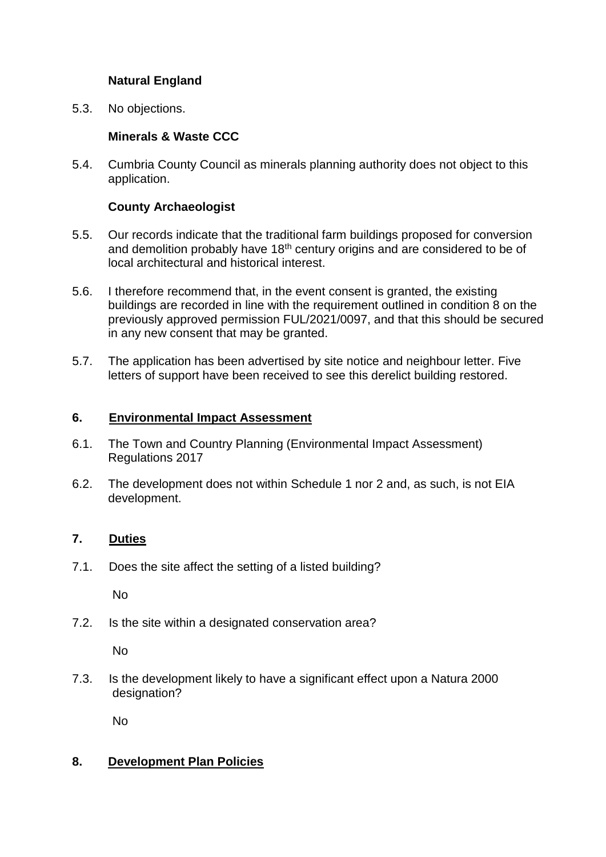### **Natural England**

5.3. No objections.

### **Minerals & Waste CCC**

5.4. Cumbria County Council as minerals planning authority does not object to this application.

### **County Archaeologist**

- 5.5. Our records indicate that the traditional farm buildings proposed for conversion and demolition probably have 18<sup>th</sup> century origins and are considered to be of local architectural and historical interest.
- 5.6. I therefore recommend that, in the event consent is granted, the existing buildings are recorded in line with the requirement outlined in condition 8 on the previously approved permission FUL/2021/0097, and that this should be secured in any new consent that may be granted.
- 5.7. The application has been advertised by site notice and neighbour letter. Five letters of support have been received to see this derelict building restored.

### **6. Environmental Impact Assessment**

- 6.1. The Town and Country Planning (Environmental Impact Assessment) Regulations 2017
- 6.2. The development does not within Schedule 1 nor 2 and, as such, is not EIA development.

### **7. Duties**

7.1. Does the site affect the setting of a listed building?

No

7.2. Is the site within a designated conservation area?

No

7.3. Is the development likely to have a significant effect upon a Natura 2000 designation?

No

### **8. Development Plan Policies**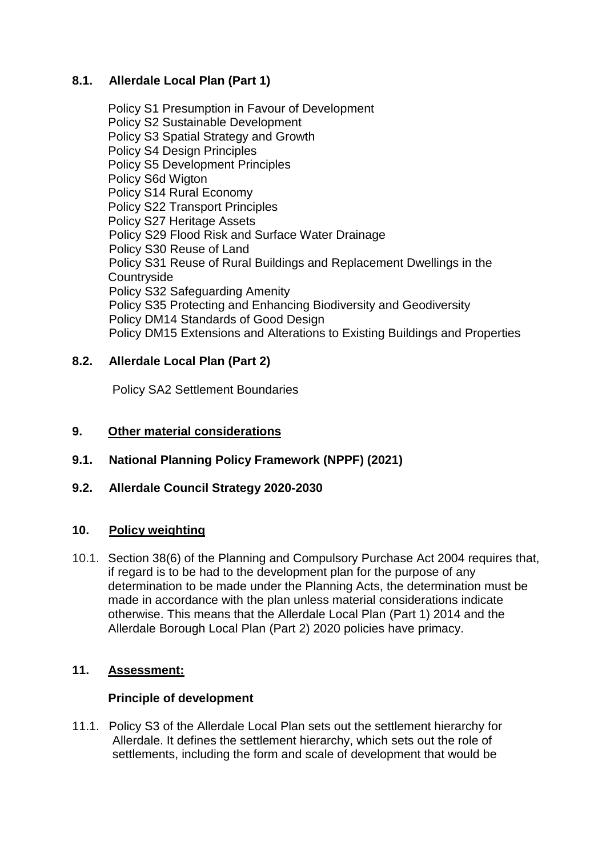### **8.1. Allerdale Local Plan (Part 1)**

Policy S1 Presumption in Favour of Development Policy S2 Sustainable Development Policy S3 Spatial Strategy and Growth Policy S4 Design Principles Policy S5 Development Principles Policy S6d Wigton Policy S14 Rural Economy Policy S22 Transport Principles Policy S27 Heritage Assets Policy S29 Flood Risk and Surface Water Drainage Policy S30 Reuse of Land Policy S31 Reuse of Rural Buildings and Replacement Dwellings in the **Countryside** Policy S32 Safeguarding Amenity Policy S35 Protecting and Enhancing Biodiversity and Geodiversity Policy DM14 Standards of Good Design Policy DM15 Extensions and Alterations to Existing Buildings and Properties

### **8.2. Allerdale Local Plan (Part 2)**

Policy SA2 Settlement Boundaries

### **9. Other material considerations**

- **9.1. National Planning Policy Framework (NPPF) (2021)**
- **9.2. Allerdale Council Strategy 2020-2030**

### **10. Policy weighting**

10.1. Section 38(6) of the Planning and Compulsory Purchase Act 2004 requires that, if regard is to be had to the development plan for the purpose of any determination to be made under the Planning Acts, the determination must be made in accordance with the plan unless material considerations indicate otherwise. This means that the Allerdale Local Plan (Part 1) 2014 and the Allerdale Borough Local Plan (Part 2) 2020 policies have primacy.

### **11. Assessment:**

### **Principle of development**

11.1. Policy S3 of the Allerdale Local Plan sets out the settlement hierarchy for Allerdale. It defines the settlement hierarchy, which sets out the role of settlements, including the form and scale of development that would be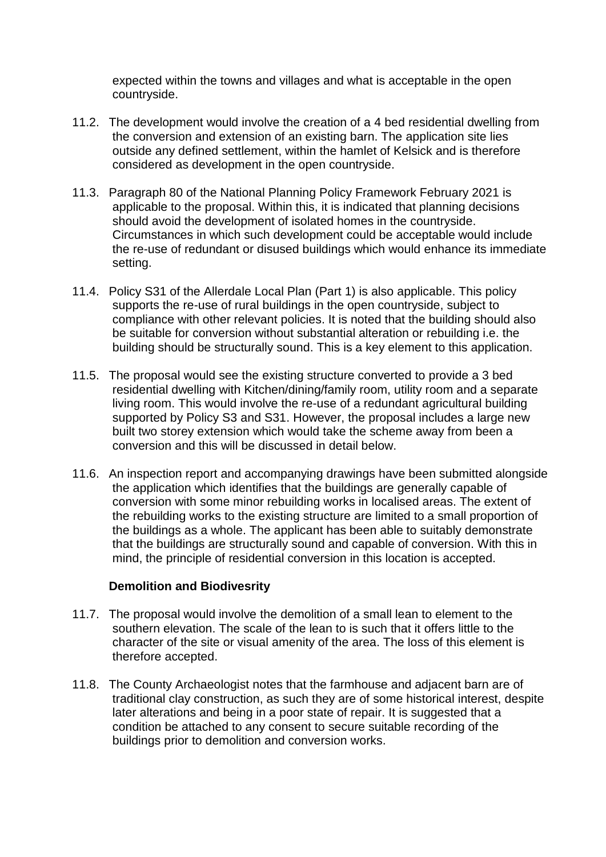expected within the towns and villages and what is acceptable in the open countryside.

- 11.2. The development would involve the creation of a 4 bed residential dwelling from the conversion and extension of an existing barn. The application site lies outside any defined settlement, within the hamlet of Kelsick and is therefore considered as development in the open countryside.
- 11.3. Paragraph 80 of the National Planning Policy Framework February 2021 is applicable to the proposal. Within this, it is indicated that planning decisions should avoid the development of isolated homes in the countryside. Circumstances in which such development could be acceptable would include the re-use of redundant or disused buildings which would enhance its immediate setting.
- 11.4. Policy S31 of the Allerdale Local Plan (Part 1) is also applicable. This policy supports the re-use of rural buildings in the open countryside, subject to compliance with other relevant policies. It is noted that the building should also be suitable for conversion without substantial alteration or rebuilding i.e. the building should be structurally sound. This is a key element to this application.
- 11.5. The proposal would see the existing structure converted to provide a 3 bed residential dwelling with Kitchen/dining/family room, utility room and a separate living room. This would involve the re-use of a redundant agricultural building supported by Policy S3 and S31. However, the proposal includes a large new built two storey extension which would take the scheme away from been a conversion and this will be discussed in detail below.
- 11.6. An inspection report and accompanying drawings have been submitted alongside the application which identifies that the buildings are generally capable of conversion with some minor rebuilding works in localised areas. The extent of the rebuilding works to the existing structure are limited to a small proportion of the buildings as a whole. The applicant has been able to suitably demonstrate that the buildings are structurally sound and capable of conversion. With this in mind, the principle of residential conversion in this location is accepted.

#### **Demolition and Biodivesrity**

- 11.7. The proposal would involve the demolition of a small lean to element to the southern elevation. The scale of the lean to is such that it offers little to the character of the site or visual amenity of the area. The loss of this element is therefore accepted.
- 11.8. The County Archaeologist notes that the farmhouse and adjacent barn are of traditional clay construction, as such they are of some historical interest, despite later alterations and being in a poor state of repair. It is suggested that a condition be attached to any consent to secure suitable recording of the buildings prior to demolition and conversion works.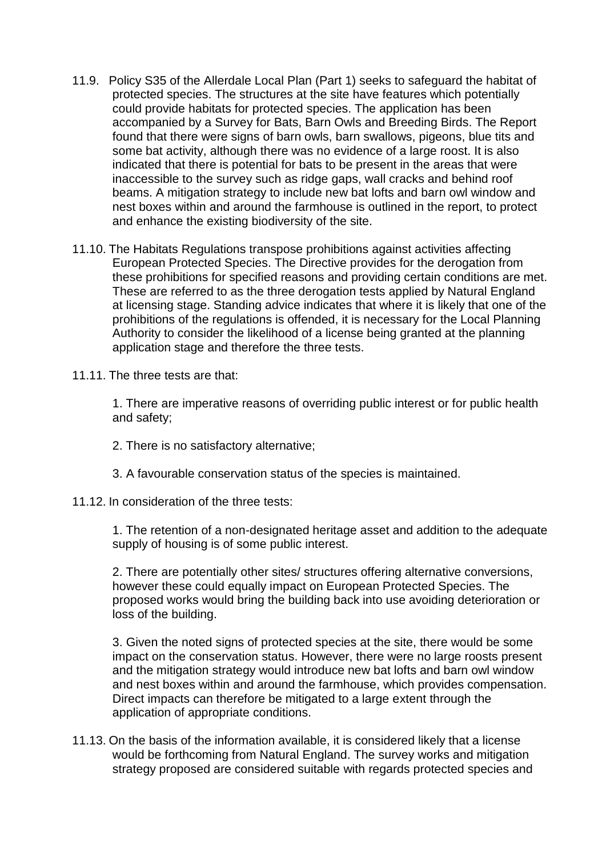- 11.9. Policy S35 of the Allerdale Local Plan (Part 1) seeks to safeguard the habitat of protected species. The structures at the site have features which potentially could provide habitats for protected species. The application has been accompanied by a Survey for Bats, Barn Owls and Breeding Birds. The Report found that there were signs of barn owls, barn swallows, pigeons, blue tits and some bat activity, although there was no evidence of a large roost. It is also indicated that there is potential for bats to be present in the areas that were inaccessible to the survey such as ridge gaps, wall cracks and behind roof beams. A mitigation strategy to include new bat lofts and barn owl window and nest boxes within and around the farmhouse is outlined in the report, to protect and enhance the existing biodiversity of the site.
- 11.10. The Habitats Regulations transpose prohibitions against activities affecting European Protected Species. The Directive provides for the derogation from these prohibitions for specified reasons and providing certain conditions are met. These are referred to as the three derogation tests applied by Natural England at licensing stage. Standing advice indicates that where it is likely that one of the prohibitions of the regulations is offended, it is necessary for the Local Planning Authority to consider the likelihood of a license being granted at the planning application stage and therefore the three tests.
- 11.11. The three tests are that:

1. There are imperative reasons of overriding public interest or for public health and safety;

- 2. There is no satisfactory alternative;
- 3. A favourable conservation status of the species is maintained.
- 11.12. In consideration of the three tests:

1. The retention of a non-designated heritage asset and addition to the adequate supply of housing is of some public interest.

2. There are potentially other sites/ structures offering alternative conversions, however these could equally impact on European Protected Species. The proposed works would bring the building back into use avoiding deterioration or loss of the building.

3. Given the noted signs of protected species at the site, there would be some impact on the conservation status. However, there were no large roosts present and the mitigation strategy would introduce new bat lofts and barn owl window and nest boxes within and around the farmhouse, which provides compensation. Direct impacts can therefore be mitigated to a large extent through the application of appropriate conditions.

11.13. On the basis of the information available, it is considered likely that a license would be forthcoming from Natural England. The survey works and mitigation strategy proposed are considered suitable with regards protected species and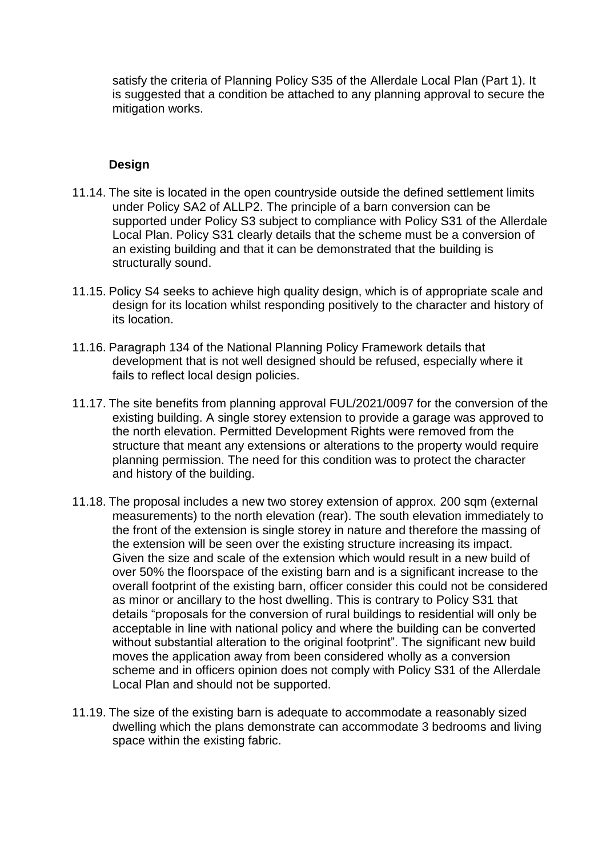satisfy the criteria of Planning Policy S35 of the Allerdale Local Plan (Part 1). It is suggested that a condition be attached to any planning approval to secure the mitigation works.

### **Design**

- 11.14. The site is located in the open countryside outside the defined settlement limits under Policy SA2 of ALLP2. The principle of a barn conversion can be supported under Policy S3 subject to compliance with Policy S31 of the Allerdale Local Plan. Policy S31 clearly details that the scheme must be a conversion of an existing building and that it can be demonstrated that the building is structurally sound.
- 11.15. Policy S4 seeks to achieve high quality design, which is of appropriate scale and design for its location whilst responding positively to the character and history of its location.
- 11.16. Paragraph 134 of the National Planning Policy Framework details that development that is not well designed should be refused, especially where it fails to reflect local design policies.
- 11.17. The site benefits from planning approval FUL/2021/0097 for the conversion of the existing building. A single storey extension to provide a garage was approved to the north elevation. Permitted Development Rights were removed from the structure that meant any extensions or alterations to the property would require planning permission. The need for this condition was to protect the character and history of the building.
- 11.18. The proposal includes a new two storey extension of approx. 200 sqm (external measurements) to the north elevation (rear). The south elevation immediately to the front of the extension is single storey in nature and therefore the massing of the extension will be seen over the existing structure increasing its impact. Given the size and scale of the extension which would result in a new build of over 50% the floorspace of the existing barn and is a significant increase to the overall footprint of the existing barn, officer consider this could not be considered as minor or ancillary to the host dwelling. This is contrary to Policy S31 that details "proposals for the conversion of rural buildings to residential will only be acceptable in line with national policy and where the building can be converted without substantial alteration to the original footprint". The significant new build moves the application away from been considered wholly as a conversion scheme and in officers opinion does not comply with Policy S31 of the Allerdale Local Plan and should not be supported.
- 11.19. The size of the existing barn is adequate to accommodate a reasonably sized dwelling which the plans demonstrate can accommodate 3 bedrooms and living space within the existing fabric.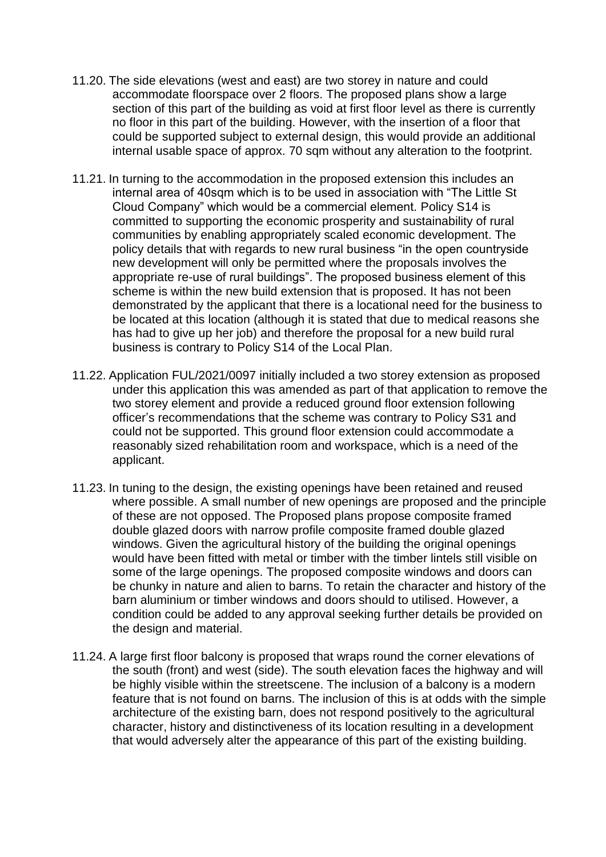- 11.20. The side elevations (west and east) are two storey in nature and could accommodate floorspace over 2 floors. The proposed plans show a large section of this part of the building as void at first floor level as there is currently no floor in this part of the building. However, with the insertion of a floor that could be supported subject to external design, this would provide an additional internal usable space of approx. 70 sqm without any alteration to the footprint.
- 11.21. In turning to the accommodation in the proposed extension this includes an internal area of 40sqm which is to be used in association with "The Little St Cloud Company" which would be a commercial element. Policy S14 is committed to supporting the economic prosperity and sustainability of rural communities by enabling appropriately scaled economic development. The policy details that with regards to new rural business "in the open countryside new development will only be permitted where the proposals involves the appropriate re-use of rural buildings". The proposed business element of this scheme is within the new build extension that is proposed. It has not been demonstrated by the applicant that there is a locational need for the business to be located at this location (although it is stated that due to medical reasons she has had to give up her job) and therefore the proposal for a new build rural business is contrary to Policy S14 of the Local Plan.
- 11.22. Application FUL/2021/0097 initially included a two storey extension as proposed under this application this was amended as part of that application to remove the two storey element and provide a reduced ground floor extension following officer's recommendations that the scheme was contrary to Policy S31 and could not be supported. This ground floor extension could accommodate a reasonably sized rehabilitation room and workspace, which is a need of the applicant.
- 11.23. In tuning to the design, the existing openings have been retained and reused where possible. A small number of new openings are proposed and the principle of these are not opposed. The Proposed plans propose composite framed double glazed doors with narrow profile composite framed double glazed windows. Given the agricultural history of the building the original openings would have been fitted with metal or timber with the timber lintels still visible on some of the large openings. The proposed composite windows and doors can be chunky in nature and alien to barns. To retain the character and history of the barn aluminium or timber windows and doors should to utilised. However, a condition could be added to any approval seeking further details be provided on the design and material.
- 11.24. A large first floor balcony is proposed that wraps round the corner elevations of the south (front) and west (side). The south elevation faces the highway and will be highly visible within the streetscene. The inclusion of a balcony is a modern feature that is not found on barns. The inclusion of this is at odds with the simple architecture of the existing barn, does not respond positively to the agricultural character, history and distinctiveness of its location resulting in a development that would adversely alter the appearance of this part of the existing building.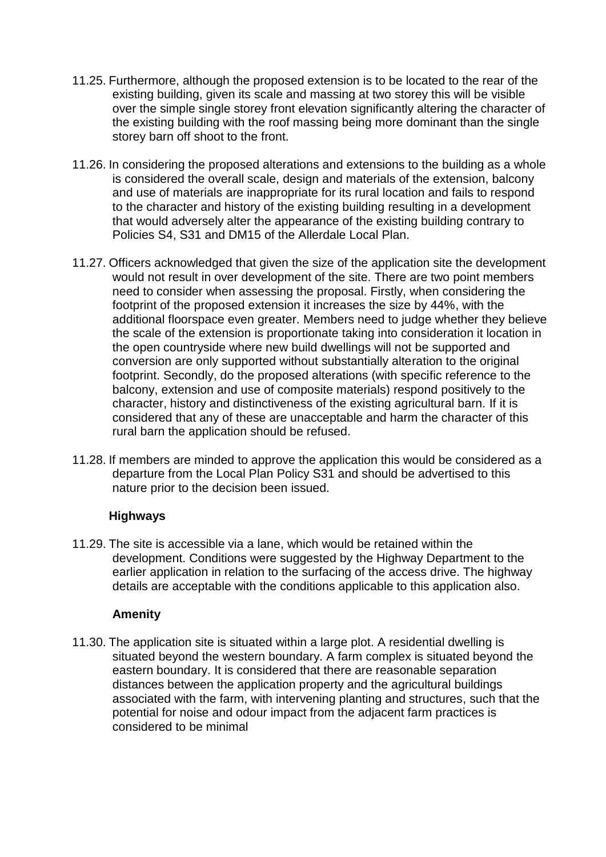- 11.25. Furthermore, although the proposed extension is to be located to the rear of the existing building, given its scale and massing at two storey this will be visible over the simple single storey front elevation significantly altering the character of the existing building with the roof massing being more dominant than the single storey barn off shoot to the front.
- 11.26. In considering the proposed alterations and extensions to the building as a whole is considered the overall scale, design and materials of the extension, balcony and use of materials are inappropriate for its rural location and fails to respond to the character and history of the existing building resulting in a development that would adversely alter the appearance of the existing building contrary to Policies S4, S31 and DM15 of the Allerdale Local Plan.
- 11.27. Officers acknowledged that given the size of the application site the development would not result in over development of the site. There are two point members need to consider when assessing the proposal. Firstly, when considering the footprint of the proposed extension it increases the size by 44%, with the additional floorspace even greater. Members need to judge whether they believe the scale of the extension is proportionate taking into consideration it location in the open countryside where new build dwellings will not be supported and conversion are only supported without substantially alteration to the original footprint. Secondly, do the proposed alterations (with specific reference to the balcony, extension and use of composite materials) respond positively to the character, history and distinctiveness of the existing agricultural barn. If it is considered that any of these are unacceptable and harm the character of this rural barn the application should be refused.
- 11.28. If members are minded to approve the application this would be considered as a departure from the Local Plan Policy S31 and should be advertised to this nature prior to the decision been issued.

### **Highways**

11.29. The site is accessible via a lane, which would be retained within the development. Conditions were suggested by the Highway Department to the earlier application in relation to the surfacing of the access drive. The highway details are acceptable with the conditions applicable to this application also.

#### **Amenity**

11.30. The application site is situated within a large plot. A residential dwelling is situated beyond the western boundary. A farm complex is situated beyond the eastern boundary. It is considered that there are reasonable separation distances between the application property and the agricultural buildings associated with the farm, with intervening planting and structures, such that the potential for noise and odour impact from the adjacent farm practices is considered to be minimal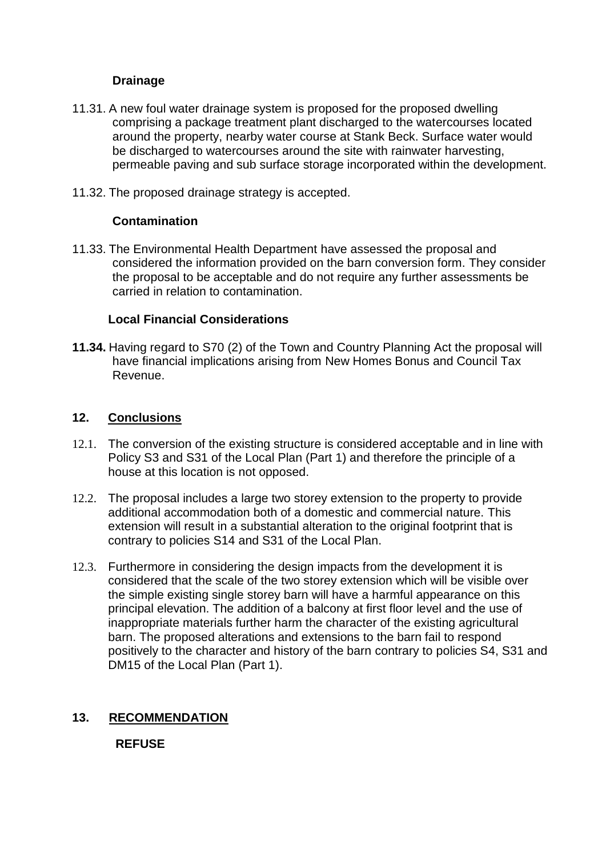### **Drainage**

- 11.31. A new foul water drainage system is proposed for the proposed dwelling comprising a package treatment plant discharged to the watercourses located around the property, nearby water course at Stank Beck. Surface water would be discharged to watercourses around the site with rainwater harvesting, permeable paving and sub surface storage incorporated within the development.
- 11.32. The proposed drainage strategy is accepted.

### **Contamination**

11.33. The Environmental Health Department have assessed the proposal and considered the information provided on the barn conversion form. They consider the proposal to be acceptable and do not require any further assessments be carried in relation to contamination.

#### **Local Financial Considerations**

**11.34.** Having regard to S70 (2) of the Town and Country Planning Act the proposal will have financial implications arising from New Homes Bonus and Council Tax Revenue.

#### **12. Conclusions**

- 12.1. The conversion of the existing structure is considered acceptable and in line with Policy S3 and S31 of the Local Plan (Part 1) and therefore the principle of a house at this location is not opposed.
- 12.2. The proposal includes a large two storey extension to the property to provide additional accommodation both of a domestic and commercial nature. This extension will result in a substantial alteration to the original footprint that is contrary to policies S14 and S31 of the Local Plan.
- 12.3. Furthermore in considering the design impacts from the development it is considered that the scale of the two storey extension which will be visible over the simple existing single storey barn will have a harmful appearance on this principal elevation. The addition of a balcony at first floor level and the use of inappropriate materials further harm the character of the existing agricultural barn. The proposed alterations and extensions to the barn fail to respond positively to the character and history of the barn contrary to policies S4, S31 and DM15 of the Local Plan (Part 1).

### **13. RECOMMENDATION**

### **REFUSE**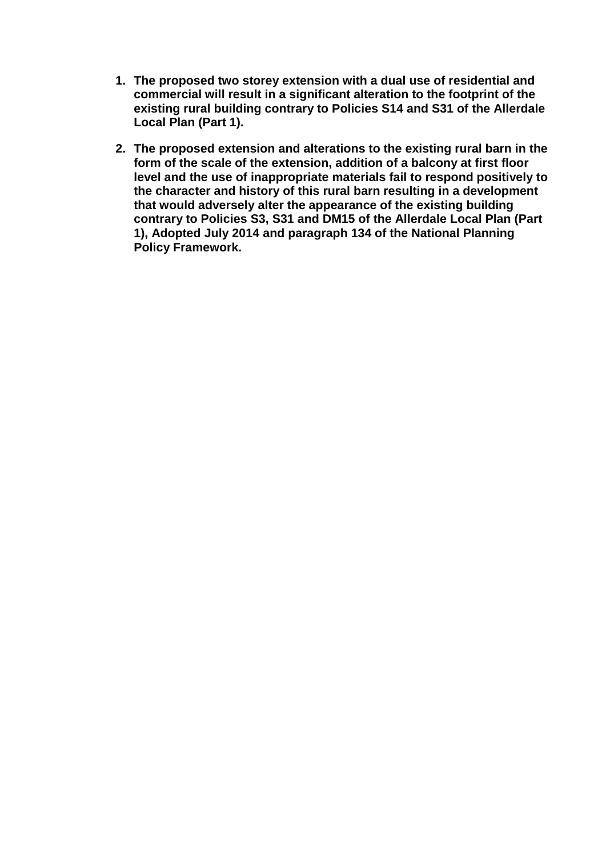- **1. The proposed two storey extension with a dual use of residential and commercial will result in a significant alteration to the footprint of the existing rural building contrary to Policies S14 and S31 of the Allerdale Local Plan (Part 1).**
- **2. The proposed extension and alterations to the existing rural barn in the form of the scale of the extension, addition of a balcony at first floor level and the use of inappropriate materials fail to respond positively to the character and history of this rural barn resulting in a development that would adversely alter the appearance of the existing building contrary to Policies S3, S31 and DM15 of the Allerdale Local Plan (Part 1), Adopted July 2014 and paragraph 134 of the National Planning Policy Framework.**